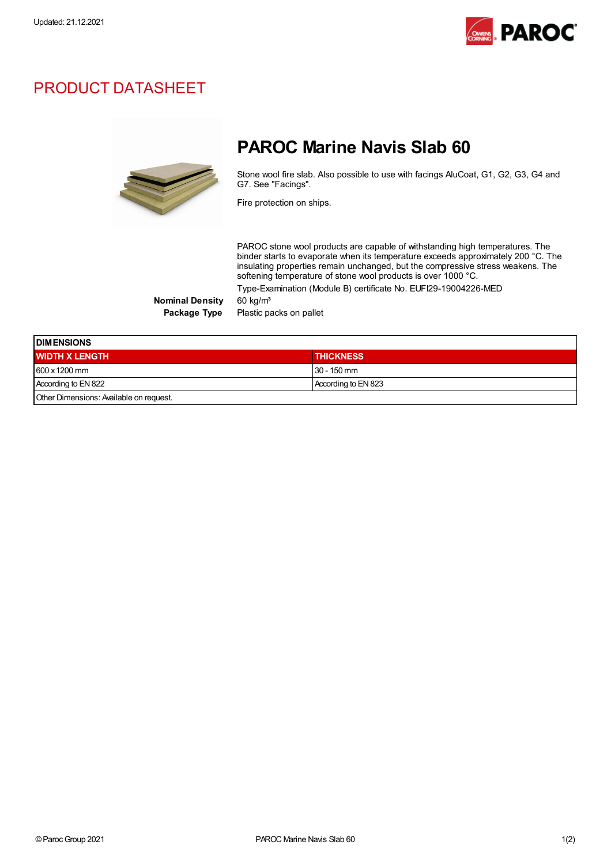

## PRODUCT DATASHEET



## PAROC Marine Navis Slab 60

Stone wool fire slab. Also possible to use with facings AluCoat, G1, G2, G3, G4 and G7. See "Facings".

Fire protection on ships.

PAROC stone wool products are capable of withstanding high temperatures. The binder starts to evaporate when its temperature exceeds approximately 200 °C. The insulating properties remain unchanged, but the compressive stress weakens. The softening temperature of stone wool products is over 1000 °C. Type-Examination (Module B) certificate No. EUFI29-19004226-MED

Nominal Density 60 kg/m<sup>3</sup>

Package Type Plastic packs on pallet

| <b>DIMENSIONS</b>                       |                     |  |
|-----------------------------------------|---------------------|--|
| <b>WIDTH X LENGTH</b>                   | <b>THICKNESS</b>    |  |
| 600 x 1200 mm                           | $130 - 150$ mm      |  |
| According to EN 822                     | According to EN 823 |  |
| Other Dimensions: Available on request. |                     |  |